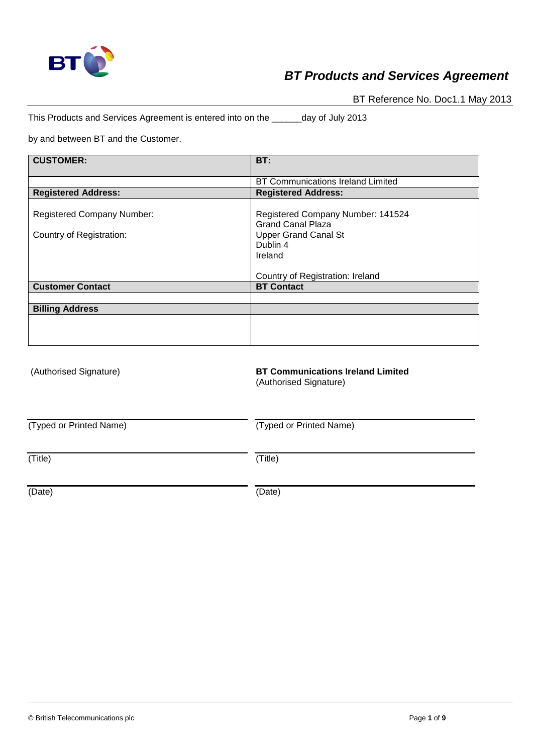

BT Reference No. Doc1.1 May 2013

This Products and Services Agreement is entered into on the \_\_\_\_\_\_day of July 2013

by and between BT and the Customer.

| <b>CUSTOMER:</b>                                              | BT:                                                                                                                 |
|---------------------------------------------------------------|---------------------------------------------------------------------------------------------------------------------|
|                                                               | <b>BT Communications Ireland Limited</b>                                                                            |
| <b>Registered Address:</b>                                    | <b>Registered Address:</b>                                                                                          |
| <b>Registered Company Number:</b><br>Country of Registration: | Registered Company Number: 141524<br><b>Grand Canal Plaza</b><br><b>Upper Grand Canal St</b><br>Dublin 4<br>Ireland |
|                                                               | Country of Registration: Ireland                                                                                    |
| <b>Customer Contact</b>                                       | <b>BT Contact</b>                                                                                                   |
|                                                               |                                                                                                                     |
| <b>Billing Address</b>                                        |                                                                                                                     |
|                                                               |                                                                                                                     |
|                                                               |                                                                                                                     |

| (Authorised Signature)  | <b>BT Communications Ireland Limited</b><br>(Authorised Signature) |
|-------------------------|--------------------------------------------------------------------|
| (Typed or Printed Name) | (Typed or Printed Name)                                            |
| (Title)                 | (Title)                                                            |
| (Date)                  | (Date)                                                             |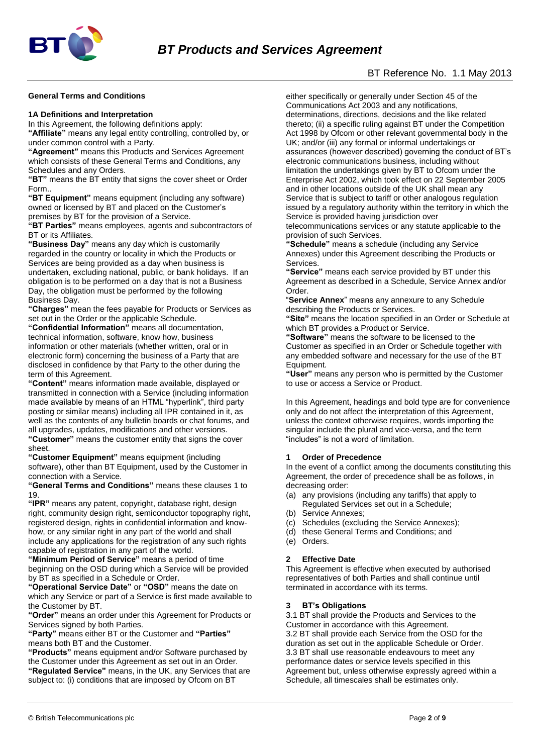

## BT Reference No. 1.1 May 2013

#### **General Terms and Conditions**

#### **1A Definitions and Interpretation**

In this Agreement, the following definitions apply: **"Affiliate"** means any legal entity controlling, controlled by, or

under common control with a Party. **"Agreement"** means this Products and Services Agreement which consists of these General Terms and Conditions, any Schedules and any Orders.

**"BT"** means the BT entity that signs the cover sheet or Order Form..

**"BT Equipment"** means equipment (including any software) owned or licensed by BT and placed on the Customer's premises by BT for the provision of a Service.

**"BT Parties"** means employees, agents and subcontractors of BT or its Affiliates.

**"Business Day"** means any day which is customarily regarded in the country or locality in which the Products or Services are being provided as a day when business is undertaken, excluding national, public, or bank holidays. If an obligation is to be performed on a day that is not a Business Day, the obligation must be performed by the following Business Day.

**"Charges"** mean the fees payable for Products or Services as set out in the Order or the applicable Schedule.

**"Confidential Information"** means all documentation, technical information, software, know how, business information or other materials (whether written, oral or in electronic form) concerning the business of a Party that are disclosed in confidence by that Party to the other during the term of this Agreement.

**"Content"** means information made available, displayed or transmitted in connection with a Service (including information made available by means of an HTML "hyperlink", third party posting or similar means) including all IPR contained in it, as well as the contents of any bulletin boards or chat forums, and all upgrades, updates, modifications and other versions. **"Customer"** means the customer entity that signs the cover sheet.

**"Customer Equipment"** means equipment (including software), other than BT Equipment, used by the Customer in connection with a Service.

**"General Terms and Conditions"** means these clauses 1 to 19.

**"IPR"** means any patent, copyright, database right, design right, community design right, semiconductor topography right, registered design, rights in confidential information and knowhow, or any similar right in any part of the world and shall include any applications for the registration of any such rights capable of registration in any part of the world.

**"Minimum Period of Service"** means a period of time beginning on the OSD during which a Service will be provided by BT as specified in a Schedule or Order.

**"Operational Service Date"** or **"OSD"** means the date on which any Service or part of a Service is first made available to the Customer by BT.

**"Order"** means an order under this Agreement for Products or Services signed by both Parties.

**"Party"** means either BT or the Customer and **"Parties"** means both BT and the Customer.

**"Products"** means equipment and/or Software purchased by the Customer under this Agreement as set out in an Order. **"Regulated Service"** means, in the UK, any Services that are subject to: (i) conditions that are imposed by Ofcom on BT

either specifically or generally under Section 45 of the Communications Act 2003 and any notifications, determinations, directions, decisions and the like related thereto; (ii) a specific ruling against BT under the Competition Act 1998 by Ofcom or other relevant governmental body in the UK; and/or (iii) any formal or informal undertakings or assurances (however described) governing the conduct of BT's electronic communications business, including without limitation the undertakings given by BT to Ofcom under the Enterprise Act 2002, which took effect on 22 September 2005 and in other locations outside of the UK shall mean any Service that is subject to tariff or other analogous regulation issued by a regulatory authority within the territory in which the Service is provided having jurisdiction over

telecommunications services or any statute applicable to the provision of such Services.

**"Schedule"** means a schedule (including any Service Annexes) under this Agreement describing the Products or Services.

**"Service"** means each service provided by BT under this Agreement as described in a Schedule, Service Annex and/or Order.

"**Service Annex**" means any annexure to any Schedule describing the Products or Services.

**"Site"** means the location specified in an Order or Schedule at which BT provides a Product or Service.

**"Software"** means the software to be licensed to the Customer as specified in an Order or Schedule together with any embedded software and necessary for the use of the BT Equipment.

**"User"** means any person who is permitted by the Customer to use or access a Service or Product.

In this Agreement, headings and bold type are for convenience only and do not affect the interpretation of this Agreement, unless the context otherwise requires, words importing the singular include the plural and vice-versa, and the term "includes" is not a word of limitation.

#### **1 Order of Precedence**

In the event of a conflict among the documents constituting this Agreement, the order of precedence shall be as follows, in decreasing order:

- (a) any provisions (including any tariffs) that apply to Regulated Services set out in a Schedule;
- (b) Service Annexes;
- (c) Schedules (excluding the Service Annexes);
- (d) these General Terms and Conditions; and
- (e) Orders.

#### **2 Effective Date**

This Agreement is effective when executed by authorised representatives of both Parties and shall continue until terminated in accordance with its terms.

#### **3 BT's Obligations**

3.1 BT shall provide the Products and Services to the Customer in accordance with this Agreement. 3.2 BT shall provide each Service from the OSD for the duration as set out in the applicable Schedule or Order. 3.3 BT shall use reasonable endeavours to meet any performance dates or service levels specified in this Agreement but, unless otherwise expressly agreed within a Schedule, all timescales shall be estimates only.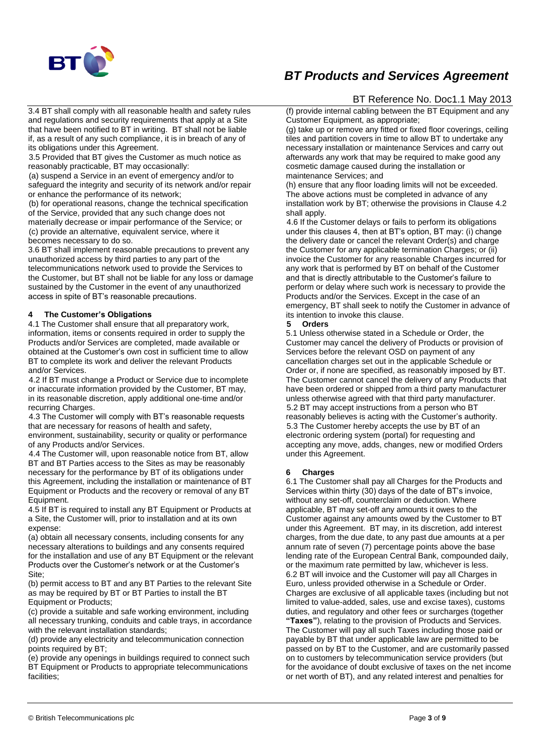

3.4 BT shall comply with all reasonable health and safety rules and regulations and security requirements that apply at a Site that have been notified to BT in writing. BT shall not be liable if, as a result of any such compliance, it is in breach of any of its obligations under this Agreement.

3.5 Provided that BT gives the Customer as much notice as reasonably practicable, BT may occasionally:

(a) suspend a Service in an event of emergency and/or to safeguard the integrity and security of its network and/or repair or enhance the performance of its network;

(b) for operational reasons, change the technical specification of the Service, provided that any such change does not materially decrease or impair performance of the Service; or (c) provide an alternative, equivalent service, where it becomes necessary to do so.

3.6 BT shall implement reasonable precautions to prevent any unauthorized access by third parties to any part of the telecommunications network used to provide the Services to the Customer, but BT shall not be liable for any loss or damage sustained by the Customer in the event of any unauthorized access in spite of BT's reasonable precautions.

#### **4 The Customer's Obligations**

4.1 The Customer shall ensure that all preparatory work, information, items or consents required in order to supply the Products and/or Services are completed, made available or obtained at the Customer's own cost in sufficient time to allow BT to complete its work and deliver the relevant Products and/or Services.

4.2 If BT must change a Product or Service due to incomplete or inaccurate information provided by the Customer, BT may, in its reasonable discretion, apply additional one-time and/or recurring Charges.

4.3 The Customer will comply with BT's reasonable requests that are necessary for reasons of health and safety,

environment, sustainability, security or quality or performance of any Products and/or Services.

4.4 The Customer will, upon reasonable notice from BT, allow BT and BT Parties access to the Sites as may be reasonably necessary for the performance by BT of its obligations under this Agreement, including the installation or maintenance of BT Equipment or Products and the recovery or removal of any BT Equipment.

4.5 If BT is required to install any BT Equipment or Products at a Site, the Customer will, prior to installation and at its own expense:

(a) obtain all necessary consents, including consents for any necessary alterations to buildings and any consents required for the installation and use of any BT Equipment or the relevant Products over the Customer's network or at the Customer's Site;

(b) permit access to BT and any BT Parties to the relevant Site as may be required by BT or BT Parties to install the BT Equipment or Products;

(c) provide a suitable and safe working environment, including all necessary trunking, conduits and cable trays, in accordance with the relevant installation standards;

(d) provide any electricity and telecommunication connection points required by BT;

(e) provide any openings in buildings required to connect such BT Equipment or Products to appropriate telecommunications facilities;

## BT Reference No. Doc1.1 May 2013

(f) provide internal cabling between the BT Equipment and any Customer Equipment, as appropriate;

(g) take up or remove any fitted or fixed floor coverings, ceiling tiles and partition covers in time to allow BT to undertake any necessary installation or maintenance Services and carry out afterwards any work that may be required to make good any cosmetic damage caused during the installation or maintenance Services; and

(h) ensure that any floor loading limits will not be exceeded. The above actions must be completed in advance of any installation work by BT; otherwise the provisions in Clause 4.2 shall apply.

4.6 If the Customer delays or fails to perform its obligations under this clauses 4, then at BT's option, BT may: (i) change the delivery date or cancel the relevant Order(s) and charge the Customer for any applicable termination Charges; or (ii) invoice the Customer for any reasonable Charges incurred for any work that is performed by BT on behalf of the Customer and that is directly attributable to the Customer's failure to perform or delay where such work is necessary to provide the Products and/or the Services. Except in the case of an emergency, BT shall seek to notify the Customer in advance of its intention to invoke this clause.

#### **5 Orders**

5.1 Unless otherwise stated in a Schedule or Order, the Customer may cancel the delivery of Products or provision of Services before the relevant OSD on payment of any cancellation charges set out in the applicable Schedule or Order or, if none are specified, as reasonably imposed by BT. The Customer cannot cancel the delivery of any Products that have been ordered or shipped from a third party manufacturer unless otherwise agreed with that third party manufacturer. 5.2 BT may accept instructions from a person who BT reasonably believes is acting with the Customer's authority. 5.3 The Customer hereby accepts the use by BT of an electronic ordering system (portal) for requesting and accepting any move, adds, changes, new or modified Orders under this Agreement.

#### **6 Charges**

6.1 The Customer shall pay all Charges for the Products and Services within thirty (30) days of the date of BT's invoice, without any set-off, counterclaim or deduction. Where applicable, BT may set-off any amounts it owes to the Customer against any amounts owed by the Customer to BT under this Agreement. BT may, in its discretion, add interest charges, from the due date, to any past due amounts at a per annum rate of seven (7) percentage points above the base lending rate of the European Central Bank, compounded daily, or the maximum rate permitted by law, whichever is less. 6.2 BT will invoice and the Customer will pay all Charges in Euro, unless provided otherwise in a Schedule or Order. Charges are exclusive of all applicable taxes (including but not limited to value-added, sales, use and excise taxes), customs duties, and regulatory and other fees or surcharges (together **"Taxes"**), relating to the provision of Products and Services. The Customer will pay all such Taxes including those paid or payable by BT that under applicable law are permitted to be passed on by BT to the Customer, and are customarily passed on to customers by telecommunication service providers (but for the avoidance of doubt exclusive of taxes on the net income or net worth of BT), and any related interest and penalties for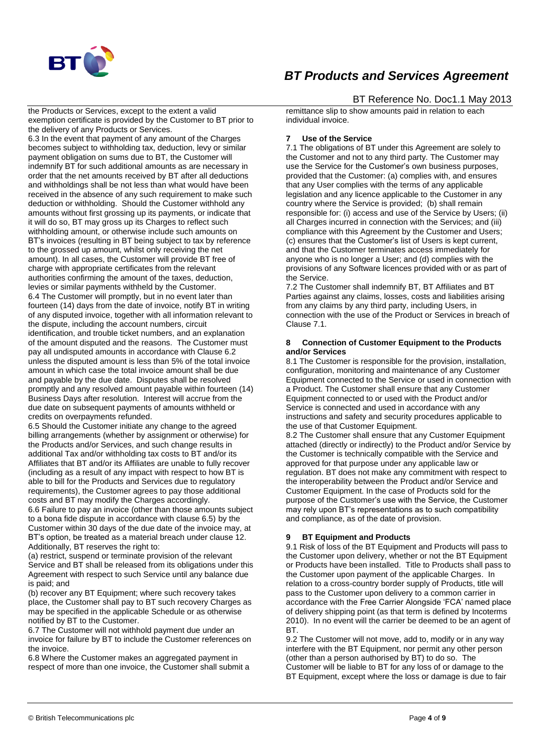

the Products or Services, except to the extent a valid exemption certificate is provided by the Customer to BT prior to the delivery of any Products or Services.

6.3 In the event that payment of any amount of the Charges becomes subject to withholding tax, deduction, levy or similar payment obligation on sums due to BT, the Customer will indemnify BT for such additional amounts as are necessary in order that the net amounts received by BT after all deductions and withholdings shall be not less than what would have been received in the absence of any such requirement to make such deduction or withholding. Should the Customer withhold any amounts without first grossing up its payments, or indicate that it will do so, BT may gross up its Charges to reflect such withholding amount, or otherwise include such amounts on BT's invoices (resulting in BT being subject to tax by reference to the grossed up amount, whilst only receiving the net amount). In all cases, the Customer will provide BT free of charge with appropriate certificates from the relevant authorities confirming the amount of the taxes, deduction, levies or similar payments withheld by the Customer. 6.4 The Customer will promptly, but in no event later than fourteen (14) days from the date of invoice, notify BT in writing of any disputed invoice, together with all information relevant to the dispute, including the account numbers, circuit identification, and trouble ticket numbers, and an explanation of the amount disputed and the reasons. The Customer must pay all undisputed amounts in accordance with Clause 6.2 unless the disputed amount is less than 5% of the total invoice amount in which case the total invoice amount shall be due and payable by the due date. Disputes shall be resolved promptly and any resolved amount payable within fourteen (14) Business Days after resolution. Interest will accrue from the due date on subsequent payments of amounts withheld or credits on overpayments refunded.

6.5 Should the Customer initiate any change to the agreed billing arrangements (whether by assignment or otherwise) for the Products and/or Services, and such change results in additional Tax and/or withholding tax costs to BT and/or its Affiliates that BT and/or its Affiliates are unable to fully recover (including as a result of any impact with respect to how BT is able to bill for the Products and Services due to regulatory requirements), the Customer agrees to pay those additional costs and BT may modify the Charges accordingly.

6.6 Failure to pay an invoice (other than those amounts subject to a bona fide dispute in accordance with clause 6.5) by the Customer within 30 days of the due date of the invoice may, at BT's option, be treated as a material breach under clause 12. Additionally, BT reserves the right to:

(a) restrict, suspend or terminate provision of the relevant Service and BT shall be released from its obligations under this Agreement with respect to such Service until any balance due is paid; and

(b) recover any BT Equipment; where such recovery takes place, the Customer shall pay to BT such recovery Charges as may be specified in the applicable Schedule or as otherwise notified by BT to the Customer.

6.7 The Customer will not withhold payment due under an invoice for failure by BT to include the Customer references on the invoice.

6.8 Where the Customer makes an aggregated payment in respect of more than one invoice, the Customer shall submit a

### BT Reference No. Doc1.1 May 2013

remittance slip to show amounts paid in relation to each individual invoice.

#### **7 Use of the Service**

7.1 The obligations of BT under this Agreement are solely to the Customer and not to any third party. The Customer may use the Service for the Customer's own business purposes, provided that the Customer: (a) complies with, and ensures that any User complies with the terms of any applicable legislation and any licence applicable to the Customer in any country where the Service is provided; (b) shall remain responsible for: (i) access and use of the Service by Users; (ii) all Charges incurred in connection with the Services; and (iii) compliance with this Agreement by the Customer and Users; (c) ensures that the Customer's list of Users is kept current, and that the Customer terminates access immediately for anyone who is no longer a User; and (d) complies with the provisions of any Software licences provided with or as part of the Service.

7.2 The Customer shall indemnify BT, BT Affiliates and BT Parties against any claims, losses, costs and liabilities arising from any claims by any third party, including Users, in connection with the use of the Product or Services in breach of Clause 7.1.

#### **8 Connection of Customer Equipment to the Products and/or Services**

8.1 The Customer is responsible for the provision, installation, configuration, monitoring and maintenance of any Customer Equipment connected to the Service or used in connection with a Product. The Customer shall ensure that any Customer Equipment connected to or used with the Product and/or Service is connected and used in accordance with any instructions and safety and security procedures applicable to the use of that Customer Equipment.

8.2 The Customer shall ensure that any Customer Equipment attached (directly or indirectly) to the Product and/or Service by the Customer is technically compatible with the Service and approved for that purpose under any applicable law or regulation. BT does not make any commitment with respect to the interoperability between the Product and/or Service and Customer Equipment. In the case of Products sold for the purpose of the Customer's use with the Service, the Customer may rely upon BT's representations as to such compatibility and compliance, as of the date of provision.

#### **9 BT Equipment and Products**

9.1 Risk of loss of the BT Equipment and Products will pass to the Customer upon delivery, whether or not the BT Equipment or Products have been installed. Title to Products shall pass to the Customer upon payment of the applicable Charges. In relation to a cross-country border supply of Products, title will pass to the Customer upon delivery to a common carrier in accordance with the Free Carrier Alongside 'FCA' named place of delivery shipping point (as that term is defined by Incoterms 2010). In no event will the carrier be deemed to be an agent of BT.

9.2 The Customer will not move, add to, modify or in any way interfere with the BT Equipment, nor permit any other person (other than a person authorised by BT) to do so. The Customer will be liable to BT for any loss of or damage to the BT Equipment, except where the loss or damage is due to fair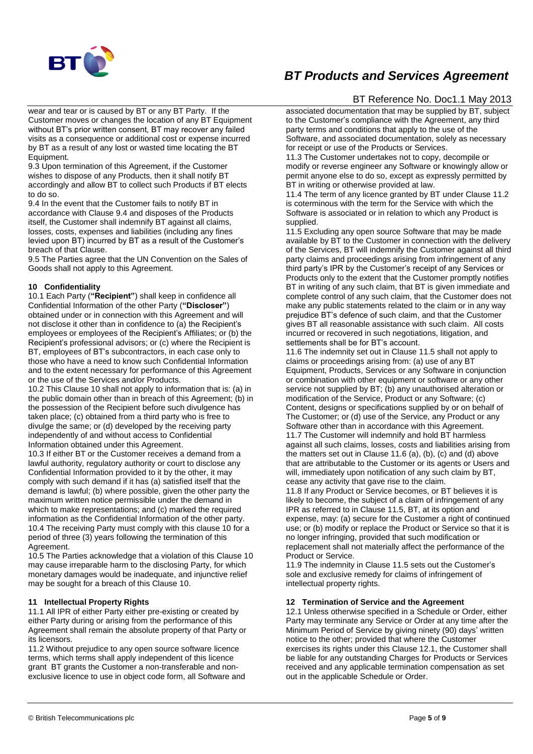

wear and tear or is caused by BT or any BT Party. If the Customer moves or changes the location of any BT Equipment without BT's prior written consent, BT may recover any failed visits as a consequence or additional cost or expense incurred by BT as a result of any lost or wasted time locating the BT Equipment.

9.3 Upon termination of this Agreement, if the Customer wishes to dispose of any Products, then it shall notify BT accordingly and allow BT to collect such Products if BT elects to do so.

9.4 In the event that the Customer fails to notify BT in accordance with Clause 9.4 and disposes of the Products itself, the Customer shall indemnify BT against all claims, losses, costs, expenses and liabilities (including any fines levied upon BT) incurred by BT as a result of the Customer's breach of that Clause.

9.5 The Parties agree that the UN Convention on the Sales of Goods shall not apply to this Agreement.

#### **10 Confidentiality**

10.1 Each Party (**"Recipient"**) shall keep in confidence all Confidential Information of the other Party (**"Discloser"**) obtained under or in connection with this Agreement and will not disclose it other than in confidence to (a) the Recipient's employees or employees of the Recipient's Affiliates; or (b) the Recipient's professional advisors; or (c) where the Recipient is BT, employees of BT's subcontractors, in each case only to those who have a need to know such Confidential Information and to the extent necessary for performance of this Agreement or the use of the Services and/or Products.

10.2 This Clause 10 shall not apply to information that is: (a) in the public domain other than in breach of this Agreement; (b) in the possession of the Recipient before such divulgence has taken place; (c) obtained from a third party who is free to divulge the same; or (d) developed by the receiving party independently of and without access to Confidential Information obtained under this Agreement.

10.3 If either BT or the Customer receives a demand from a lawful authority, regulatory authority or court to disclose any Confidential Information provided to it by the other, it may comply with such demand if it has (a) satisfied itself that the demand is lawful; (b) where possible, given the other party the maximum written notice permissible under the demand in which to make representations; and (c) marked the required information as the Confidential Information of the other party. 10.4 The receiving Party must comply with this clause 10 for a period of three (3) years following the termination of this Agreement.

10.5 The Parties acknowledge that a violation of this Clause 10 may cause irreparable harm to the disclosing Party, for which monetary damages would be inadequate, and injunctive relief may be sought for a breach of this Clause 10.

#### **11 Intellectual Property Rights**

11.1 All IPR of either Party either pre-existing or created by either Party during or arising from the performance of this Agreement shall remain the absolute property of that Party or its licensors.

11.2 Without prejudice to any open source software licence terms, which terms shall apply independent of this licence grant BT grants the Customer a non-transferable and nonexclusive licence to use in object code form, all Software and

# *BT Products and Services Agreement*

## BT Reference No. Doc1.1 May 2013

associated documentation that may be supplied by BT, subject to the Customer's compliance with the Agreement, any third party terms and conditions that apply to the use of the Software, and associated documentation, solely as necessary for receipt or use of the Products or Services.

11.3 The Customer undertakes not to copy, decompile or modify or reverse engineer any Software or knowingly allow or permit anyone else to do so, except as expressly permitted by BT in writing or otherwise provided at law.

11.4 The term of any licence granted by BT under Clause 11.2 is coterminous with the term for the Service with which the Software is associated or in relation to which any Product is supplied.

11.5 Excluding any open source Software that may be made available by BT to the Customer in connection with the delivery of the Services, BT will indemnify the Customer against all third party claims and proceedings arising from infringement of any third party's IPR by the Customer's receipt of any Services or Products only to the extent that the Customer promptly notifies BT in writing of any such claim, that BT is given immediate and complete control of any such claim, that the Customer does not make any public statements related to the claim or in any way prejudice BT's defence of such claim, and that the Customer gives BT all reasonable assistance with such claim. All costs incurred or recovered in such negotiations, litigation, and settlements shall be for BT's account.

11.6 The indemnity set out in Clause 11.5 shall not apply to claims or proceedings arising from: (a) use of any BT Equipment, Products, Services or any Software in conjunction or combination with other equipment or software or any other service not supplied by BT; (b) any unauthorised alteration or modification of the Service, Product or any Software; (c) Content, designs or specifications supplied by or on behalf of The Customer; or (d) use of the Service, any Product or any Software other than in accordance with this Agreement. 11.7 The Customer will indemnify and hold BT harmless against all such claims, losses, costs and liabilities arising from the matters set out in Clause 11.6 (a), (b), (c) and (d) above that are attributable to the Customer or its agents or Users and will, immediately upon notification of any such claim by BT, cease any activity that gave rise to the claim.

11.8 If any Product or Service becomes, or BT believes it is likely to become, the subiect of a claim of infringement of any IPR as referred to in Clause 11.5, BT, at its option and expense, may: (a) secure for the Customer a right of continued use; or (b) modify or replace the Product or Service so that it is no longer infringing, provided that such modification or replacement shall not materially affect the performance of the Product or Service.

11.9 The indemnity in Clause 11.5 sets out the Customer's sole and exclusive remedy for claims of infringement of intellectual property rights.

#### **12 Termination of Service and the Agreement**

12.1 Unless otherwise specified in a Schedule or Order, either Party may terminate any Service or Order at any time after the Minimum Period of Service by giving ninety (90) days' written notice to the other; provided that where the Customer exercises its rights under this Clause 12.1, the Customer shall be liable for any outstanding Charges for Products or Services received and any applicable termination compensation as set out in the applicable Schedule or Order.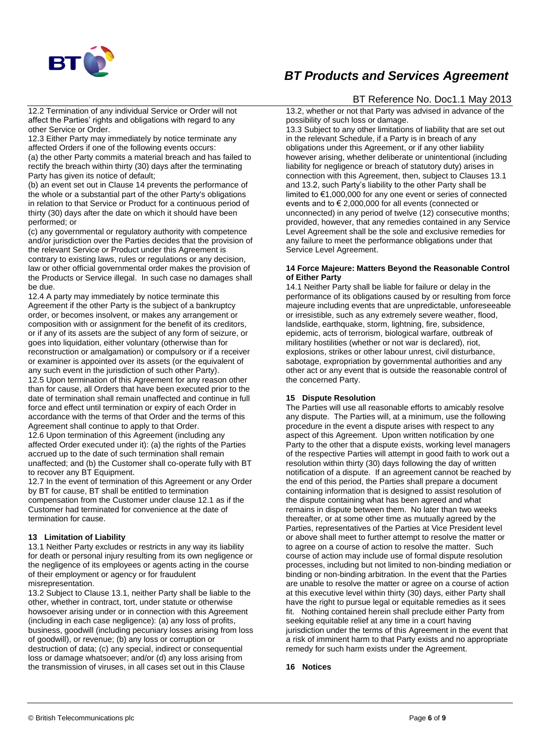

12.2 Termination of any individual Service or Order will not affect the Parties' rights and obligations with regard to any other Service or Order.

12.3 Either Party may immediately by notice terminate any affected Orders if one of the following events occurs: (a) the other Party commits a material breach and has failed to rectify the breach within thirty (30) days after the terminating Party has given its notice of default;

(b) an event set out in Clause 14 prevents the performance of the whole or a substantial part of the other Party's obligations in relation to that Service or Product for a continuous period of thirty (30) days after the date on which it should have been performed; or

(c) any governmental or regulatory authority with competence and/or jurisdiction over the Parties decides that the provision of the relevant Service or Product under this Agreement is contrary to existing laws, rules or regulations or any decision, law or other official governmental order makes the provision of the Products or Service illegal. In such case no damages shall be due.

12.4 A party may immediately by notice terminate this Agreement if the other Party is the subject of a bankruptcy order, or becomes insolvent, or makes any arrangement or composition with or assignment for the benefit of its creditors, or if any of its assets are the subject of any form of seizure, or goes into liquidation, either voluntary (otherwise than for reconstruction or amalgamation) or compulsory or if a receiver or examiner is appointed over its assets (or the equivalent of any such event in the jurisdiction of such other Party).

12.5 Upon termination of this Agreement for any reason other than for cause, all Orders that have been executed prior to the date of termination shall remain unaffected and continue in full force and effect until termination or expiry of each Order in accordance with the terms of that Order and the terms of this Agreement shall continue to apply to that Order.

12.6 Upon termination of this Agreement (including any affected Order executed under it): (a) the rights of the Parties accrued up to the date of such termination shall remain unaffected; and (b) the Customer shall co-operate fully with BT to recover any BT Equipment.

12.7 In the event of termination of this Agreement or any Order by BT for cause, BT shall be entitled to termination compensation from the Customer under clause 12.1 as if the Customer had terminated for convenience at the date of termination for cause.

#### **13 Limitation of Liability**

13.1 Neither Party excludes or restricts in any way its liability for death or personal injury resulting from its own negligence or the negligence of its employees or agents acting in the course of their employment or agency or for fraudulent misrepresentation.

13.2 Subject to Clause 13.1, neither Party shall be liable to the other, whether in contract, tort, under statute or otherwise howsoever arising under or in connection with this Agreement (including in each case negligence): (a) any loss of profits, business, goodwill (including pecuniary losses arising from loss of goodwill), or revenue; (b) any loss or corruption or destruction of data; (c) any special, indirect or consequential loss or damage whatsoever; and/or (d) any loss arising from the transmission of viruses, in all cases set out in this Clause

## BT Reference No. Doc1.1 May 2013

13.2, whether or not that Party was advised in advance of the possibility of such loss or damage.

13.3 Subject to any other limitations of liability that are set out in the relevant Schedule, if a Party is in breach of any obligations under this Agreement, or if any other liability however arising, whether deliberate or unintentional (including liability for negligence or breach of statutory duty) arises in connection with this Agreement, then, subject to Clauses 13.1 and 13.2, such Party's liability to the other Party shall be limited to €1,000,000 for any one event or series of connected events and to € 2,000,000 for all events (connected or unconnected) in any period of twelve (12) consecutive months; provided, however, that any remedies contained in any Service Level Agreement shall be the sole and exclusive remedies for any failure to meet the performance obligations under that Service Level Agreement.

#### **14 Force Majeure: Matters Beyond the Reasonable Control of Either Party**

14.1 Neither Party shall be liable for failure or delay in the performance of its obligations caused by or resulting from force majeure including events that are unpredictable, unforeseeable or irresistible, such as any extremely severe weather, flood, landslide, earthquake, storm, lightning, fire, subsidence, epidemic, acts of terrorism, biological warfare, outbreak of military hostilities (whether or not war is declared), riot, explosions, strikes or other labour unrest, civil disturbance, sabotage, expropriation by governmental authorities and any other act or any event that is outside the reasonable control of the concerned Party.

#### **15 Dispute Resolution**

The Parties will use all reasonable efforts to amicably resolve any dispute. The Parties will, at a minimum, use the following procedure in the event a dispute arises with respect to any aspect of this Agreement. Upon written notification by one Party to the other that a dispute exists, working level managers of the respective Parties will attempt in good faith to work out a resolution within thirty (30) days following the day of written notification of a dispute. If an agreement cannot be reached by the end of this period, the Parties shall prepare a document containing information that is designed to assist resolution of the dispute containing what has been agreed and what remains in dispute between them. No later than two weeks thereafter, or at some other time as mutually agreed by the Parties, representatives of the Parties at Vice President level or above shall meet to further attempt to resolve the matter or to agree on a course of action to resolve the matter. Such course of action may include use of formal dispute resolution processes, including but not limited to non-binding mediation or binding or non-binding arbitration. In the event that the Parties are unable to resolve the matter or agree on a course of action at this executive level within thirty (30) days, either Party shall have the right to pursue legal or equitable remedies as it sees fit. Nothing contained herein shall preclude either Party from seeking equitable relief at any time in a court having jurisdiction under the terms of this Agreement in the event that a risk of imminent harm to that Party exists and no appropriate remedy for such harm exists under the Agreement.

#### **16 Notices**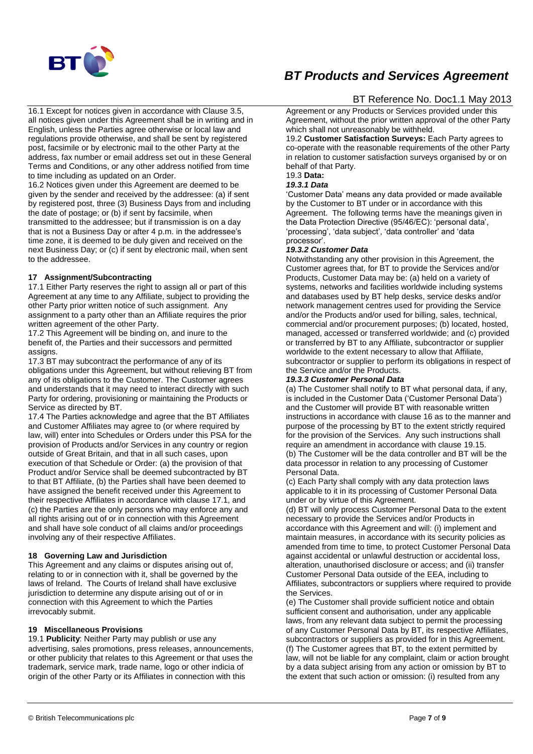

16.1 Except for notices given in accordance with Clause 3.5, all notices given under this Agreement shall be in writing and in English, unless the Parties agree otherwise or local law and regulations provide otherwise, and shall be sent by registered post, facsimile or by electronic mail to the other Party at the address, fax number or email address set out in these General Terms and Conditions, or any other address notified from time to time including as updated on an Order.

16.2 Notices given under this Agreement are deemed to be given by the sender and received by the addressee: (a) if sent by registered post, three (3) Business Days from and including the date of postage; or (b) if sent by facsimile, when transmitted to the addressee; but if transmission is on a day that is not a Business Day or after 4 p.m. in the addressee's time zone, it is deemed to be duly given and received on the next Business Day; or (c) if sent by electronic mail, when sent to the addressee.

#### **17 Assignment/Subcontracting**

17.1 Either Party reserves the right to assign all or part of this Agreement at any time to any Affiliate, subject to providing the other Party prior written notice of such assignment. Any assignment to a party other than an Affiliate requires the prior written agreement of the other Party.

17.2 This Agreement will be binding on, and inure to the benefit of, the Parties and their successors and permitted assigns.

17.3 BT may subcontract the performance of any of its obligations under this Agreement, but without relieving BT from any of its obligations to the Customer. The Customer agrees and understands that it may need to interact directly with such Party for ordering, provisioning or maintaining the Products or Service as directed by BT.

17.4 The Parties acknowledge and agree that the BT Affiliates and Customer Affiliates may agree to (or where required by law, will) enter into Schedules or Orders under this PSA for the provision of Products and/or Services in any country or region outside of Great Britain, and that in all such cases, upon execution of that Schedule or Order: (a) the provision of that Product and/or Service shall be deemed subcontracted by BT to that BT Affiliate, (b) the Parties shall have been deemed to have assigned the benefit received under this Agreement to their respective Affiliates in accordance with clause 17.1, and (c) the Parties are the only persons who may enforce any and all rights arising out of or in connection with this Agreement and shall have sole conduct of all claims and/or proceedings involving any of their respective Affiliates.

#### **18 Governing Law and Jurisdiction**

This Agreement and any claims or disputes arising out of, relating to or in connection with it, shall be governed by the laws of Ireland. The Courts of Ireland shall have exclusive jurisdiction to determine any dispute arising out of or in connection with this Agreement to which the Parties irrevocably submit.

#### **19 Miscellaneous Provisions**

19.1 **Publicity**: Neither Party may publish or use any advertising, sales promotions, press releases, announcements, or other publicity that relates to this Agreement or that uses the trademark, service mark, trade name, logo or other indicia of origin of the other Party or its Affiliates in connection with this

# *BT Products and Services Agreement*

## BT Reference No. Doc1.1 May 2013

Agreement or any Products or Services provided under this Agreement, without the prior written approval of the other Party which shall not unreasonably be withheld.

19.2 **Customer Satisfaction Surveys:** Each Party agrees to co-operate with the reasonable requirements of the other Party in relation to customer satisfaction surveys organised by or on behalf of that Party.

# 19.3 **Data:**

## *19.3.1 Data*

'Customer Data' means any data provided or made available by the Customer to BT under or in accordance with this Agreement. The following terms have the meanings given in the Data Protection Directive (95/46/EC): 'personal data', 'processing', 'data subject', 'data controller' and 'data processor'.

#### *19.3.2 Customer Data*

Notwithstanding any other provision in this Agreement, the Customer agrees that, for BT to provide the Services and/or Products, Customer Data may be: (a) held on a variety of systems, networks and facilities worldwide including systems and databases used by BT help desks, service desks and/or network management centres used for providing the Service and/or the Products and/or used for billing, sales, technical, commercial and/or procurement purposes; (b) located, hosted, managed, accessed or transferred worldwide; and (c) provided or transferred by BT to any Affiliate, subcontractor or supplier worldwide to the extent necessary to allow that Affiliate, subcontractor or supplier to perform its obligations in respect of the Service and/or the Products.

#### *19.3.3 Customer Personal Data*

(a) The Customer shall notify to BT what personal data, if any, is included in the Customer Data ('Customer Personal Data') and the Customer will provide BT with reasonable written instructions in accordance with clause 16 as to the manner and purpose of the processing by BT to the extent strictly required for the provision of the Services. Any such instructions shall require an amendment in accordance with clause 19.15. (b) The Customer will be the data controller and BT will be the data processor in relation to any processing of Customer Personal Data.

(c) Each Party shall comply with any data protection laws applicable to it in its processing of Customer Personal Data under or by virtue of this Agreement.

(d) BT will only process Customer Personal Data to the extent necessary to provide the Services and/or Products in accordance with this Agreement and will: (i) implement and maintain measures, in accordance with its security policies as amended from time to time, to protect Customer Personal Data against accidental or unlawful destruction or accidental loss, alteration, unauthorised disclosure or access; and (ii) transfer Customer Personal Data outside of the EEA, including to Affiliates, subcontractors or suppliers where required to provide the Services.

(e) The Customer shall provide sufficient notice and obtain sufficient consent and authorisation, under any applicable laws, from any relevant data subject to permit the processing of any Customer Personal Data by BT, its respective Affiliates, subcontractors or suppliers as provided for in this Agreement. (f) The Customer agrees that BT, to the extent permitted by law, will not be liable for any complaint, claim or action brought by a data subject arising from any action or omission by BT to the extent that such action or omission: (i) resulted from any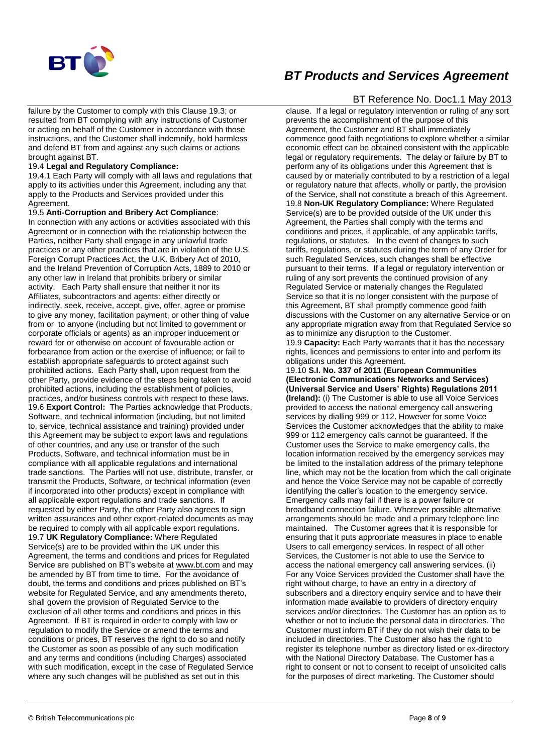

failure by the Customer to comply with this Clause 19.3; or resulted from BT complying with any instructions of Customer or acting on behalf of the Customer in accordance with those instructions, and the Customer shall indemnify, hold harmless and defend BT from and against any such claims or actions brought against BT.

#### 19.4 **Legal and Regulatory Compliance:**

19.4.1 Each Party will comply with all laws and regulations that apply to its activities under this Agreement, including any that apply to the Products and Services provided under this Agreement.

#### 19.5 **Anti-Corruption and Bribery Act Compliance**:

In connection with any actions or activities associated with this Agreement or in connection with the relationship between the Parties, neither Party shall engage in any unlawful trade practices or any other practices that are in violation of the U.S. Foreign Corrupt Practices Act, the U.K. Bribery Act of 2010, and the Ireland Prevention of Corruption Acts, 1889 to 2010 or any other law in Ireland that prohibits bribery or similar activity. Each Party shall ensure that neither it nor its Affiliates, subcontractors and agents: either directly or indirectly, seek, receive, accept, give, offer, agree or promise to give any money, facilitation payment, or other thing of value from or to anyone (including but not limited to government or corporate officials or agents) as an improper inducement or reward for or otherwise on account of favourable action or forbearance from action or the exercise of influence; or fail to establish appropriate safeguards to protect against such prohibited actions. Each Party shall, upon request from the other Party, provide evidence of the steps being taken to avoid prohibited actions, including the establishment of policies, practices, and/or business controls with respect to these laws. 19.6 **Export Control:** The Parties acknowledge that Products, Software, and technical information (including, but not limited to, service, technical assistance and training) provided under this Agreement may be subject to export laws and regulations of other countries, and any use or transfer of the such Products, Software, and technical information must be in compliance with all applicable regulations and international trade sanctions. The Parties will not use, distribute, transfer, or transmit the Products, Software, or technical information (even if incorporated into other products) except in compliance with all applicable export regulations and trade sanctions. If requested by either Party, the other Party also agrees to sign written assurances and other export-related documents as may be required to comply with all applicable export regulations. 19.7 **UK Regulatory Compliance:** Where Regulated Service(s) are to be provided within the UK under this Agreement, the terms and conditions and prices for Regulated Service are published on BT's website a[t www.bt.com](http://www.bt.com/) and may be amended by BT from time to time. For the avoidance of doubt, the terms and conditions and prices published on BT's website for Regulated Service, and any amendments thereto, shall govern the provision of Regulated Service to the exclusion of all other terms and conditions and prices in this Agreement. If BT is required in order to comply with law or regulation to modify the Service or amend the terms and conditions or prices, BT reserves the right to do so and notify the Customer as soon as possible of any such modification and any terms and conditions (including Charges) associated with such modification, except in the case of Regulated Service where any such changes will be published as set out in this

# *BT Products and Services Agreement*

## BT Reference No. Doc1.1 May 2013

clause. If a legal or regulatory intervention or ruling of any sort prevents the accomplishment of the purpose of this Agreement, the Customer and BT shall immediately commence good faith negotiations to explore whether a similar economic effect can be obtained consistent with the applicable legal or regulatory requirements. The delay or failure by BT to perform any of its obligations under this Agreement that is caused by or materially contributed to by a restriction of a legal or regulatory nature that affects, wholly or partly, the provision of the Service, shall not constitute a breach of this Agreement. 19.8 **Non-UK Regulatory Compliance:** Where Regulated Service(s) are to be provided outside of the UK under this Agreement, the Parties shall comply with the terms and conditions and prices, if applicable, of any applicable tariffs, regulations, or statutes. In the event of changes to such tariffs, regulations, or statutes during the term of any Order for such Regulated Services, such changes shall be effective pursuant to their terms. If a legal or regulatory intervention or ruling of any sort prevents the continued provision of any Regulated Service or materially changes the Regulated Service so that it is no longer consistent with the purpose of this Agreement, BT shall promptly commence good faith discussions with the Customer on any alternative Service or on any appropriate migration away from that Regulated Service so as to minimize any disruption to the Customer. 19.9 **Capacity:** Each Party warrants that it has the necessary rights, licences and permissions to enter into and perform its

obligations under this Agreement. 19.10 **S.I. No. 337 of 2011 (European Communities (Electronic Communications Networks and Services) (Universal Service and Users' Rights) Regulations 2011 (Ireland):** (i) The Customer is able to use all Voice Services provided to access the national emergency call answering services by dialling 999 or 112. However for some Voice Services the Customer acknowledges that the ability to make 999 or 112 emergency calls cannot be guaranteed. If the Customer uses the Service to make emergency calls, the location information received by the emergency services may be limited to the installation address of the primary telephone line, which may not be the location from which the call originate and hence the Voice Service may not be capable of correctly identifying the caller's location to the emergency service. Emergency calls may fail if there is a power failure or broadband connection failure. Wherever possible alternative arrangements should be made and a primary telephone line maintained. The Customer agrees that it is responsible for ensuring that it puts appropriate measures in place to enable Users to call emergency services. In respect of all other Services, the Customer is not able to use the Service to access the national emergency call answering services. (ii) For any Voice Services provided the Customer shall have the right without charge, to have an entry in a directory of subscribers and a directory enquiry service and to have their information made available to providers of directory enquiry services and/or directories. The Customer has an option as to whether or not to include the personal data in directories. The Customer must inform BT if they do not wish their data to be included in directories. The Customer also has the right to register its telephone number as directory listed or ex-directory with the National Directory Database. The Customer has a right to consent or not to consent to receipt of unsolicited calls for the purposes of direct marketing. The Customer should